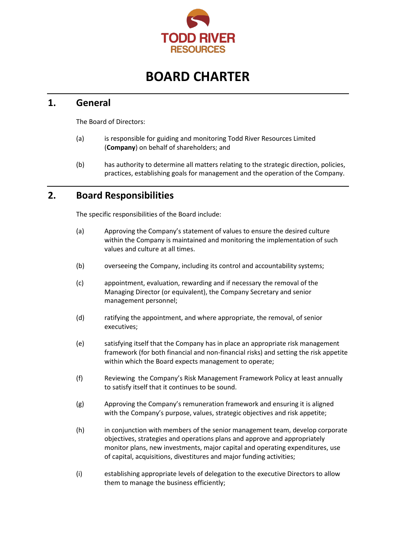

# **BOARD CHARTER**

## **1. General**

The Board of Directors:

- (a) is responsible for guiding and monitoring Todd River Resources Limited (**Company**) on behalf of shareholders; and
- (b) has authority to determine all matters relating to the strategic direction, policies, practices, establishing goals for management and the operation of the Company.

# **2. Board Responsibilities**

The specific responsibilities of the Board include:

- (a) Approving the Company's statement of values to ensure the desired culture within the Company is maintained and monitoring the implementation of such values and culture at all times.
- (b) overseeing the Company, including its control and accountability systems;
- (c) appointment, evaluation, rewarding and if necessary the removal of the Managing Director (or equivalent), the Company Secretary and senior management personnel;
- (d) ratifying the appointment, and where appropriate, the removal, of senior executives;
- (e) satisfying itself that the Company has in place an appropriate risk management framework (for both financial and non-financial risks) and setting the risk appetite within which the Board expects management to operate;
- (f) Reviewing the Company's Risk Management Framework Policy at least annually to satisfy itself that it continues to be sound.
- (g) Approving the Company's remuneration framework and ensuring it is aligned with the Company's purpose, values, strategic objectives and risk appetite;
- (h) in conjunction with members of the senior management team, develop corporate objectives, strategies and operations plans and approve and appropriately monitor plans, new investments, major capital and operating expenditures, use of capital, acquisitions, divestitures and major funding activities;
- (i) establishing appropriate levels of delegation to the executive Directors to allow them to manage the business efficiently;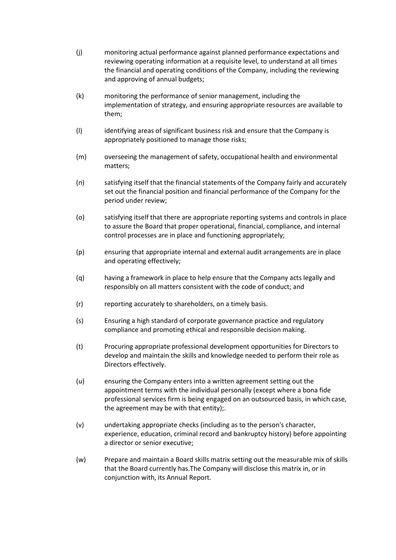- (j) monitoring actual performance against planned performance expectations and reviewing operating information at a requisite level, to understand at all times the financial and operating conditions of the Company, including the reviewing and approving of annual budgets;
- (k) monitoring the performance of senior management, including the implementation of strategy, and ensuring appropriate resources are available to them;
- (l) identifying areas of significant business risk and ensure that the Company is appropriately positioned to manage those risks;
- (m) overseeing the management of safety, occupational health and environmental matters;
- (n) satisfying itself that the financial statements of the Company fairly and accurately set out the financial position and financial performance of the Company for the period under review;
- (o) satisfying itself that there are appropriate reporting systems and controls in place to assure the Board that proper operational, financial, compliance, and internal control processes are in place and functioning appropriately;
- (p) ensuring that appropriate internal and external audit arrangements are in place and operating effectively;
- (q) having a framework in place to help ensure that the Company acts legally and responsibly on all matters consistent with the code of conduct; and
- (r) reporting accurately to shareholders, on a timely basis.
- (s) Ensuring a high standard of corporate governance practice and regulatory compliance and promoting ethical and responsible decision making.
- (t) Procuring appropriate professional development opportunities for Directors to develop and maintain the skills and knowledge needed to perform their role as Directors effectively.
- (u) ensuring the Company enters into a written agreement setting out the appointment terms with the individual personally (except where a bona fide professional services firm is being engaged on an outsourced basis, in which case, the agreement may be with that entity);.
- (v) undertaking appropriate checks (including as to the person's character, experience, education, criminal record and bankruptcy history) before appointing a director or senior executive;
- (w) Prepare and maintain a Board skills matrix setting out the measurable mix of skills that the Board currently has.The Company will disclose this matrix in, or in conjunction with, its Annual Report.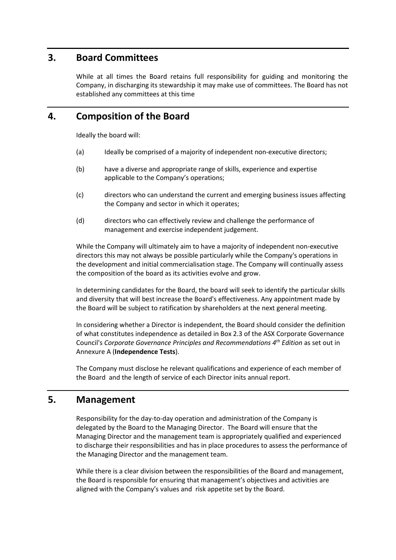## **3. Board Committees**

While at all times the Board retains full responsibility for guiding and monitoring the Company, in discharging its stewardship it may make use of committees. The Board has not established any committees at this time

#### **4. Composition of the Board**

Ideally the board will:

- (a) Ideally be comprised of a majority of independent non-executive directors;
- (b) have a diverse and appropriate range of skills, experience and expertise applicable to the Company's operations;
- (c) directors who can understand the current and emerging business issues affecting the Company and sector in which it operates;
- (d) directors who can effectively review and challenge the performance of management and exercise independent judgement.

While the Company will ultimately aim to have a majority of independent non-executive directors this may not always be possible particularly while the Company's operations in the development and initial commercialisation stage. The Company will continually assess the composition of the board as its activities evolve and grow.

In determining candidates for the Board, the board will seek to identify the particular skills and diversity that will best increase the Board's effectiveness. Any appointment made by the Board will be subject to ratification by shareholders at the next general meeting.

In considering whether a Director is independent, the Board should consider the definition of what constitutes independence as detailed in Box 2.3 of the ASX Corporate Governance Council's *Corporate Governance Principles and Recommendations 4th Edition* as set out in Annexure A (**Independence Tests**).

The Company must disclose he relevant qualifications and experience of each member of the Board and the length of service of each Director inits annual report.

# **5. Management**

Responsibility for the day-to-day operation and administration of the Company is delegated by the Board to the Managing Director. The Board will ensure that the Managing Director and the management team is appropriately qualified and experienced to discharge their responsibilities and has in place procedures to assess the performance of the Managing Director and the management team.

While there is a clear division between the responsibilities of the Board and management, the Board is responsible for ensuring that management's objectives and activities are aligned with the Company's values and risk appetite set by the Board.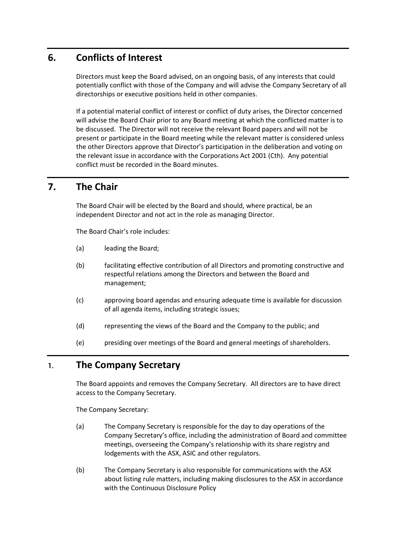# **6. Conflicts of Interest**

Directors must keep the Board advised, on an ongoing basis, of any interests that could potentially conflict with those of the Company and will advise the Company Secretary of all directorships or executive positions held in other companies.

If a potential material conflict of interest or conflict of duty arises, the Director concerned will advise the Board Chair prior to any Board meeting at which the conflicted matter is to be discussed. The Director will not receive the relevant Board papers and will not be present or participate in the Board meeting while the relevant matter is considered unless the other Directors approve that Director's participation in the deliberation and voting on the relevant issue in accordance with the Corporations Act 2001 (Cth). Any potential conflict must be recorded in the Board minutes.

# **7. The Chair**

The Board Chair will be elected by the Board and should, where practical, be an independent Director and not act in the role as managing Director.

The Board Chair's role includes:

- (a) leading the Board;
- (b) facilitating effective contribution of all Directors and promoting constructive and respectful relations among the Directors and between the Board and management;
- (c) approving board agendas and ensuring adequate time is available for discussion of all agenda items, including strategic issues;
- (d) representing the views of the Board and the Company to the public; and
- (e) presiding over meetings of the Board and general meetings of shareholders.

#### **1. The Company Secretary**

The Board appoints and removes the Company Secretary. All directors are to have direct access to the Company Secretary.

The Company Secretary:

- (a) The Company Secretary is responsible for the day to day operations of the Company Secretary's office, including the administration of Board and committee meetings, overseeing the Company's relationship with its share registry and lodgements with the ASX, ASIC and other regulators.
- (b) The Company Secretary is also responsible for communications with the ASX about listing rule matters, including making disclosures to the ASX in accordance with the Continuous Disclosure Policy